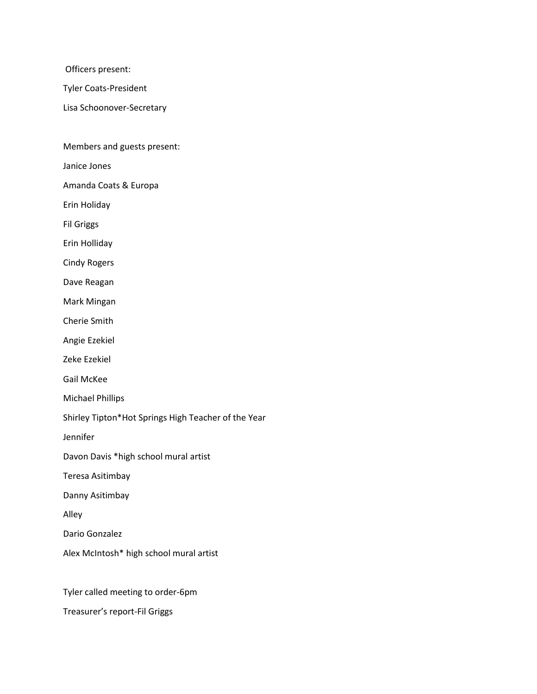Officers present:

Tyler Coats-President

Lisa Schoonover-Secretary

Members and guests present:

Janice Jones

Amanda Coats & Europa

Erin Holiday

Fil Griggs

Erin Holliday

Cindy Rogers

Dave Reagan

Mark Mingan

Cherie Smith

Angie Ezekiel

Zeke Ezekiel

Gail McKee

Michael Phillips

Shirley Tipton\*Hot Springs High Teacher of the Year

Jennifer

Davon Davis \*high school mural artist

Teresa Asitimbay

Danny Asitimbay

Alley

Dario Gonzalez

Alex McIntosh\* high school mural artist

Tyler called meeting to order-6pm

Treasurer's report-Fil Griggs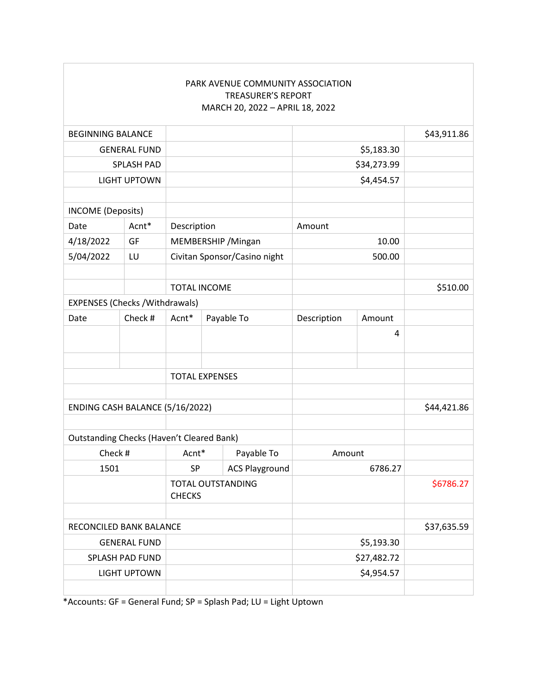|                                        |                                                  |                                           |  | PARK AVENUE COMMUNITY ASSOCIATION<br><b>TREASURER'S REPORT</b><br>MARCH 20, 2022 - APRIL 18, 2022 |             |             |           |
|----------------------------------------|--------------------------------------------------|-------------------------------------------|--|---------------------------------------------------------------------------------------------------|-------------|-------------|-----------|
| <b>BEGINNING BALANCE</b>               |                                                  |                                           |  |                                                                                                   |             | \$43,911.86 |           |
| <b>GENERAL FUND</b>                    |                                                  |                                           |  | \$5,183.30                                                                                        |             |             |           |
| <b>SPLASH PAD</b>                      |                                                  |                                           |  |                                                                                                   | \$34,273.99 |             |           |
| <b>LIGHT UPTOWN</b>                    |                                                  |                                           |  |                                                                                                   | \$4,454.57  |             |           |
| <b>INCOME</b> (Deposits)               |                                                  |                                           |  |                                                                                                   |             |             |           |
| Date                                   | Acnt*                                            | Description                               |  |                                                                                                   | Amount      |             |           |
| 4/18/2022                              | GF                                               | MEMBERSHIP / Mingan                       |  |                                                                                                   | 10.00       |             |           |
| 5/04/2022                              | LU                                               | Civitan Sponsor/Casino night              |  |                                                                                                   | 500.00      |             |           |
|                                        | <b>TOTAL INCOME</b>                              |                                           |  |                                                                                                   |             |             | \$510.00  |
| <b>EXPENSES (Checks / Withdrawals)</b> |                                                  |                                           |  |                                                                                                   |             |             |           |
| Date                                   | Check #                                          | Acnt*                                     |  | Payable To                                                                                        | Description | Amount      |           |
|                                        |                                                  |                                           |  |                                                                                                   |             | 4           |           |
|                                        |                                                  | <b>TOTAL EXPENSES</b>                     |  |                                                                                                   |             |             |           |
| ENDING CASH BALANCE (5/16/2022)        |                                                  |                                           |  |                                                                                                   |             | \$44,421.86 |           |
|                                        | <b>Outstanding Checks (Haven't Cleared Bank)</b> |                                           |  |                                                                                                   |             |             |           |
| Check #                                |                                                  | Acnt*                                     |  | Payable To                                                                                        | Amount      |             |           |
| 1501                                   |                                                  | SP                                        |  | <b>ACS Playground</b>                                                                             | 6786.27     |             |           |
|                                        |                                                  | <b>TOTAL OUTSTANDING</b><br><b>CHECKS</b> |  |                                                                                                   |             |             | \$6786.27 |
| RECONCILED BANK BALANCE                |                                                  |                                           |  |                                                                                                   |             | \$37,635.59 |           |
| <b>GENERAL FUND</b>                    |                                                  |                                           |  |                                                                                                   | \$5,193.30  |             |           |
| <b>SPLASH PAD FUND</b>                 |                                                  |                                           |  |                                                                                                   | \$27,482.72 |             |           |
| <b>LIGHT UPTOWN</b>                    |                                                  |                                           |  |                                                                                                   | \$4,954.57  |             |           |
|                                        |                                                  |                                           |  |                                                                                                   |             |             |           |

\*Accounts: GF = General Fund; SP = Splash Pad; LU = Light Uptown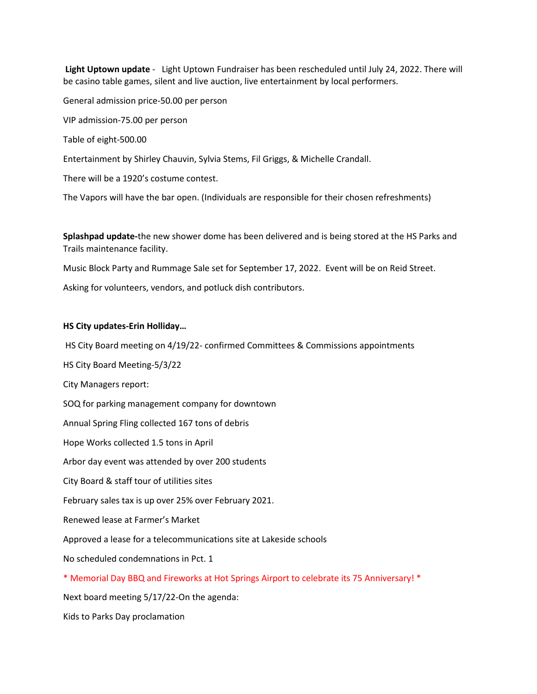**Light Uptown update** - Light Uptown Fundraiser has been rescheduled until July 24, 2022. There will be casino table games, silent and live auction, live entertainment by local performers.

General admission price-50.00 per person

VIP admission-75.00 per person

Table of eight-500.00

Entertainment by Shirley Chauvin, Sylvia Stems, Fil Griggs, & Michelle Crandall.

There will be a 1920's costume contest.

The Vapors will have the bar open. (Individuals are responsible for their chosen refreshments)

**Splashpad update-**the new shower dome has been delivered and is being stored at the HS Parks and Trails maintenance facility.

Music Block Party and Rummage Sale set for September 17, 2022. Event will be on Reid Street.

Asking for volunteers, vendors, and potluck dish contributors.

# **HS City updates-Erin Holliday…**

HS City Board meeting on 4/19/22- confirmed Committees & Commissions appointments

HS City Board Meeting-5/3/22

City Managers report:

SOQ for parking management company for downtown

Annual Spring Fling collected 167 tons of debris

Hope Works collected 1.5 tons in April

Arbor day event was attended by over 200 students

City Board & staff tour of utilities sites

February sales tax is up over 25% over February 2021.

Renewed lease at Farmer's Market

Approved a lease for a telecommunications site at Lakeside schools

No scheduled condemnations in Pct. 1

\* Memorial Day BBQ and Fireworks at Hot Springs Airport to celebrate its 75 Anniversary! \*

Next board meeting 5/17/22-On the agenda:

Kids to Parks Day proclamation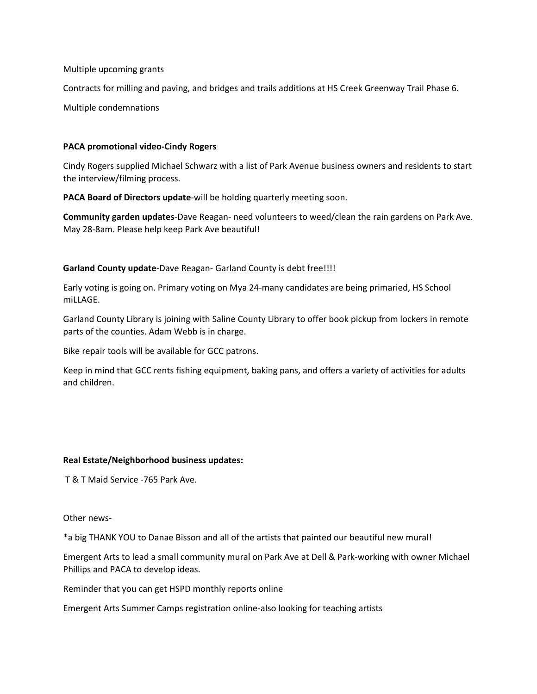Multiple upcoming grants

Contracts for milling and paving, and bridges and trails additions at HS Creek Greenway Trail Phase 6.

Multiple condemnations

## **PACA promotional video-Cindy Rogers**

Cindy Rogers supplied Michael Schwarz with a list of Park Avenue business owners and residents to start the interview/filming process.

**PACA Board of Directors update**-will be holding quarterly meeting soon.

**Community garden updates**-Dave Reagan- need volunteers to weed/clean the rain gardens on Park Ave. May 28-8am. Please help keep Park Ave beautiful!

#### **Garland County update**-Dave Reagan- Garland County is debt free!!!!

Early voting is going on. Primary voting on Mya 24-many candidates are being primaried, HS School miLLAGE.

Garland County Library is joining with Saline County Library to offer book pickup from lockers in remote parts of the counties. Adam Webb is in charge.

Bike repair tools will be available for GCC patrons.

Keep in mind that GCC rents fishing equipment, baking pans, and offers a variety of activities for adults and children.

# **Real Estate/Neighborhood business updates:**

T & T Maid Service -765 Park Ave.

Other news-

\*a big THANK YOU to Danae Bisson and all of the artists that painted our beautiful new mural!

Emergent Arts to lead a small community mural on Park Ave at Dell & Park-working with owner Michael Phillips and PACA to develop ideas.

Reminder that you can get HSPD monthly reports online

Emergent Arts Summer Camps registration online-also looking for teaching artists